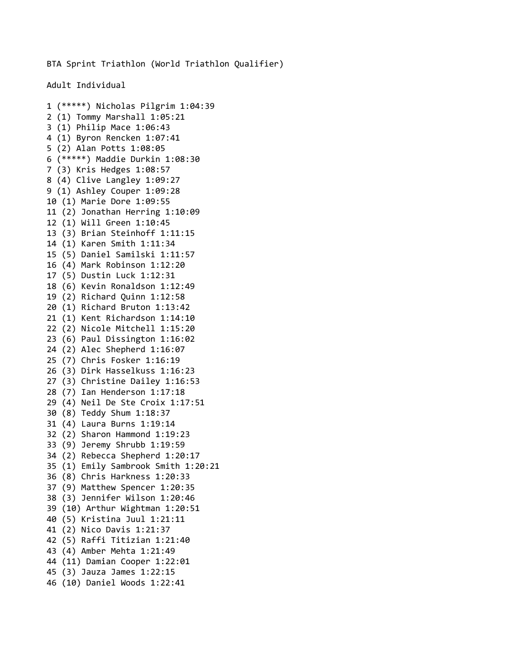BTA Sprint Triathlon (World Triathlon Qualifier)

Adult Individual

```
1 (*****) Nicholas Pilgrim 1:04:39
2 (1) Tommy Marshall 1:05:21
3 (1) Philip Mace 1:06:43
4 (1) Byron Rencken 1:07:41
5 (2) Alan Potts 1:08:05
6 (*****) Maddie Durkin 1:08:30
7 (3) Kris Hedges 1:08:57
8 (4) Clive Langley 1:09:27
9 (1) Ashley Couper 1:09:28
10 (1) Marie Dore 1:09:55
11 (2) Jonathan Herring 1:10:09
12 (1) Will Green 1:10:45
13 (3) Brian Steinhoff 1:11:15
14 (1) Karen Smith 1:11:34
15 (5) Daniel Samilski 1:11:57
16 (4) Mark Robinson 1:12:20
17 (5) Dustin Luck 1:12:31
18 (6) Kevin Ronaldson 1:12:49
19 (2) Richard Quinn 1:12:58
20 (1) Richard Bruton 1:13:42
21 (1) Kent Richardson 1:14:10
22 (2) Nicole Mitchell 1:15:20
23 (6) Paul Dissington 1:16:02
24 (2) Alec Shepherd 1:16:07
25 (7) Chris Fosker 1:16:19
26 (3) Dirk Hasselkuss 1:16:23
27 (3) Christine Dailey 1:16:53
28 (7) Ian Henderson 1:17:18
29 (4) Neil De Ste Croix 1:17:51
30 (8) Teddy Shum 1:18:37
31 (4) Laura Burns 1:19:14
32 (2) Sharon Hammond 1:19:23
33 (9) Jeremy Shrubb 1:19:59
34 (2) Rebecca Shepherd 1:20:17
35 (1) Emily Sambrook Smith 1:20:21
36 (8) Chris Harkness 1:20:33
37 (9) Matthew Spencer 1:20:35
38 (3) Jennifer Wilson 1:20:46
39 (10) Arthur Wightman 1:20:51
40 (5) Kristina Juul 1:21:11
41 (2) Nico Davis 1:21:37
42 (5) Raffi Titizian 1:21:40
43 (4) Amber Mehta 1:21:49
44 (11) Damian Cooper 1:22:01
45 (3) Jauza James 1:22:15
46 (10) Daniel Woods 1:22:41
```